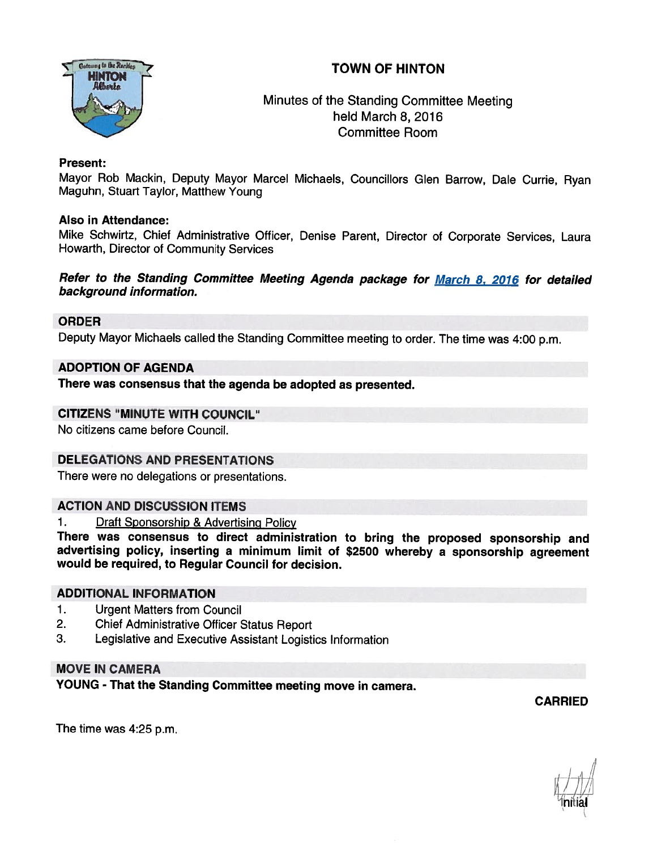# TOWN OF HINTON



Minutes of the Standing Committee Meeting held March 8, 2016 Committee Room

## Present:

Mayor Rob Mackin, Deputy Mayor Marcel Michaels, Councillors Glen Barrow, Dale Currie, Ryan Maguhn, Stuart Taylor, Matthew Young

## Also in Attendance:

Mike Schwirtz, Chief Administrative Officer, Denise Parent, Director of Corporate Services, Laura Howarth, Director of Community Services

### Refer to the Standing Committee Meeting Agenda package for March 8. <sup>2016</sup> for detailed background information.

## ORDER

Deputy Mayor Michaels called the Standing Committee meeting to order. The time was 4:00 p.m.

## ADOPTION OF AGENDA

There was consensus that the agenda be adopted as presented.

### CITIZENS "MINUTE WITH COUNCIL"

No citizens came before Council.

## DELEGATIONS AND PRESENTATIONS

There were no delegations or presentations.

## ACTION AND DISCUSSION ITEMS

1. Draft Sponsorship & Advertising Policy

There was consensus to direct administration to bring the proposed sponsorship and advertising policy, inserting <sup>a</sup> minimum limit of \$2500 whereby <sup>a</sup> sponsorship agreement would be required, to Regular Council for decision.

### ADDITIONAL INFORMATION

- 1. Urgent Matters from Council
- 2. Chief Administrative Officer Status Report
- 3. Legislative and Executive Assistant Logistics Information

## MOVE IN CAMERA

YOUNG - That the Standing Committee meeting move in camera.

CARRIED

The time was 4:25 p.m.

Initial